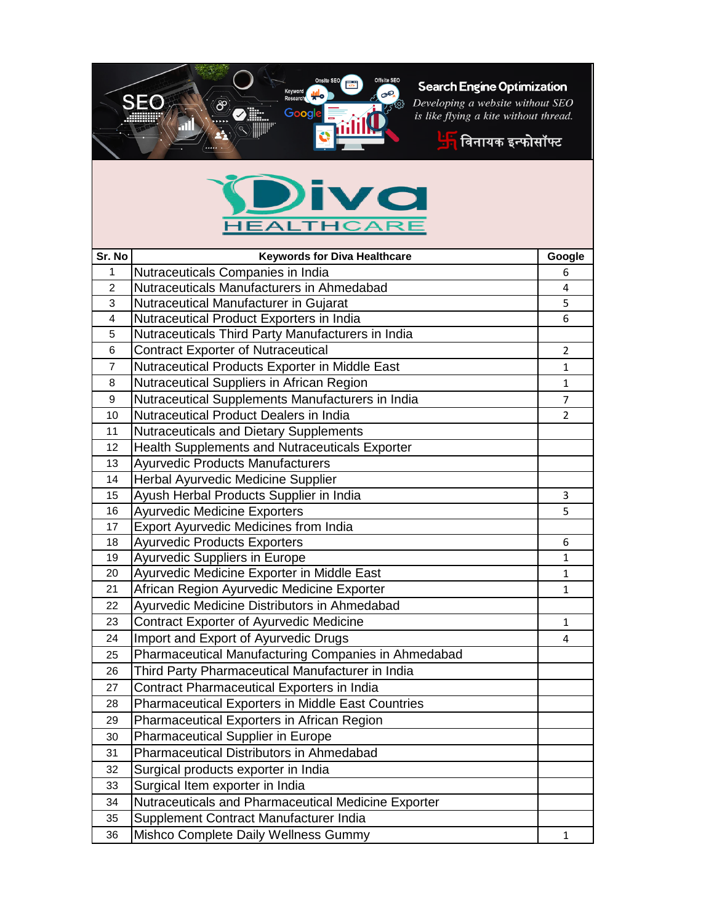

## Search Engine Optimization

Developing a website without SEO<br>is like flying a kite without thread.



## 70 **HEALTHCARE**

SEO

⁄8ి

| Sr. No         | <b>Keywords for Diva Healthcare</b>                 | Google         |
|----------------|-----------------------------------------------------|----------------|
| $\mathbf{1}$   | Nutraceuticals Companies in India                   | 6              |
| $\overline{2}$ | Nutraceuticals Manufacturers in Ahmedabad           | 4              |
| 3              | Nutraceutical Manufacturer in Gujarat               | 5              |
| 4              | Nutraceutical Product Exporters in India            | 6              |
| 5              | Nutraceuticals Third Party Manufacturers in India   |                |
| 6              | <b>Contract Exporter of Nutraceutical</b>           | $\overline{2}$ |
| 7              | Nutraceutical Products Exporter in Middle East      | $\mathbf{1}$   |
| 8              | Nutraceutical Suppliers in African Region           | 1              |
| 9              | Nutraceutical Supplements Manufacturers in India    | 7              |
| 10             | Nutraceutical Product Dealers in India              | $\overline{2}$ |
| 11             | Nutraceuticals and Dietary Supplements              |                |
| 12             | Health Supplements and Nutraceuticals Exporter      |                |
| 13             | <b>Ayurvedic Products Manufacturers</b>             |                |
| 14             | Herbal Ayurvedic Medicine Supplier                  |                |
| 15             | Ayush Herbal Products Supplier in India             | 3              |
| 16             | <b>Ayurvedic Medicine Exporters</b>                 | 5              |
| 17             | <b>Export Ayurvedic Medicines from India</b>        |                |
| 18             | <b>Ayurvedic Products Exporters</b>                 | 6              |
| 19             | Ayurvedic Suppliers in Europe                       | 1              |
| 20             | Ayurvedic Medicine Exporter in Middle East          | $\mathbf{1}$   |
| 21             | African Region Ayurvedic Medicine Exporter          | $\mathbf{1}$   |
| 22             | Ayurvedic Medicine Distributors in Ahmedabad        |                |
| 23             | Contract Exporter of Ayurvedic Medicine             | 1              |
| 24             | Import and Export of Ayurvedic Drugs                | 4              |
| 25             | Pharmaceutical Manufacturing Companies in Ahmedabad |                |
| 26             | Third Party Pharmaceutical Manufacturer in India    |                |
| 27             | Contract Pharmaceutical Exporters in India          |                |
| 28             | Pharmaceutical Exporters in Middle East Countries   |                |
| 29             | Pharmaceutical Exporters in African Region          |                |
| 30             | Pharmaceutical Supplier in Europe                   |                |
| 31             | Pharmaceutical Distributors in Ahmedabad            |                |
| 32             | Surgical products exporter in India                 |                |
| 33             | Surgical Item exporter in India                     |                |
| 34             | Nutraceuticals and Pharmaceutical Medicine Exporter |                |
| 35             | Supplement Contract Manufacturer India              |                |
| 36             | Mishco Complete Daily Wellness Gummy                | 1              |